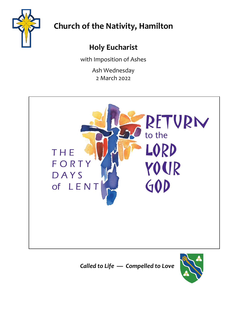

# **Church of the Nativity, Hamilton**

# **Holy Eucharist**

with Imposition of Ashes

Ash Wednesday 2 March 2022



*Called to Life — Compelled to Love*

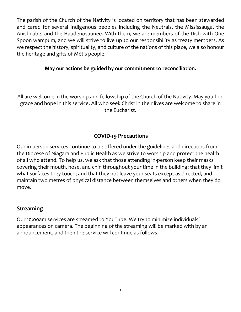The parish of the Church of the Nativity is located on territory that has been stewarded and cared for several Indigenous peoples including the Neutrals, the Mississauga, the Anishnabe, and the Haudenosaunee. With them, we are members of the Dish with One Spoon wampum, and we will strive to live up to our responsibility as treaty members. As we respect the history, spirituality, and culture of the nations of this place, we also honour the heritage and gifts of Métis people.

#### **May our actions be guided by our commitment to reconciliation.**

All are welcome in the worship and fellowship of the Church of the Nativity. May you find grace and hope in this service. All who seek Christ in their lives are welcome to share in the Eucharist.

#### **COVID-19 Precautions**

Our in-person services continue to be offered under the guidelines and directions from the Diocese of Niagara and Public Health as we strive to worship and protect the health of all who attend. To help us, we ask that those attending in-person keep their masks covering their mouth, nose, and chin throughout your time in the building; that they limit what surfaces they touch; and that they not leave your seats except as directed, and maintain two metres of physical distance between themselves and others when they do move.

#### **Streaming**

Our 10:00am services are streamed to YouTube. We try to minimize individuals' appearances on camera. The beginning of the streaming will be marked with by an announcement, and then the service will continue as follows.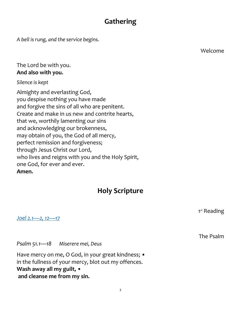## **Gathering**

*A bell is rung, and the service begins.*

Welcome

The Lord be with you. **And also with you.**

*Silence is kept*

Almighty and everlasting God, you despise nothing you have made and forgive the sins of all who are penitent. Create and make in us new and contrite hearts, that we, worthily lamenting our sins and acknowledging our brokenness, may obtain of you, the God of all mercy, perfect remission and forgiveness; through Jesus Christ our Lord, who lives and reigns with you and the Holy Spirit, one God, for ever and ever. **Amen.**

## **Holy Scripture**

*[Joel 2.1](https://bible.oremus.org/?ql=512908421)—2, 12—17*

*Psalm 51.1—18 Miserere mei, Deus*

Have mercy on me, O God, in your great kindness; • in the fullness of your mercy, blot out my offences. **Wash away all my guilt, • and cleanse me from my sin.**

1<sup>st</sup> Reading

The Psalm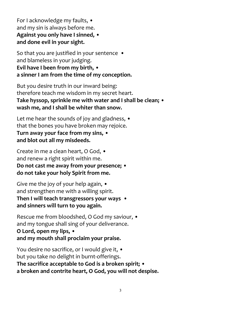For I acknowledge my faults, • and my sin is always before me. **Against you only have I sinned, • and done evil in your sight.**

So that you are justified in your sentence • and blameless in your judging. **Evil have I been from my birth, • a sinner I am from the time of my conception.**

But you desire truth in our inward being: therefore teach me wisdom in my secret heart. **Take hyssop, sprinkle me with water and I shall be clean; • wash me, and I shall be whiter than snow.**

Let me hear the sounds of joy and gladness, • that the bones you have broken may rejoice. **Turn away your face from my sins, • and blot out all my misdeeds.**

Create in me a clean heart, O God, • and renew a right spirit within me. **Do not cast me away from your presence; • do not take your holy Spirit from me.**

Give me the joy of your help again, • and strengthen me with a willing spirit. **Then I will teach transgressors your ways • and sinners will turn to you again.**

Rescue me from bloodshed, O God my saviour, • and my tongue shall sing of your deliverance. **O Lord, open my lips, • and my mouth shall proclaim your praise.**

You desire no sacrifice, or I would give it, • but you take no delight in burnt-offerings. **The sacrifice acceptable to God is a broken spirit; • a broken and contrite heart, O God, you will not despise.**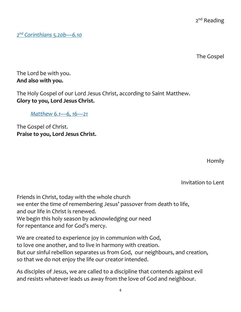4

2<sup>nd</sup> Reading

The Gospel

*2 nd [Corinthians 5.20b](https://bible.oremus.org/?ql=512908602)—6.10*

The Lord be with you. **And also with you.**

The Holy Gospel of our Lord Jesus Christ, according to Saint Matthew. **Glory to you, Lord Jesus Christ.**

*[Matthew 6.1](https://bible.oremus.org/?ql=512908854)—6, 16—21* 

The Gospel of Christ. **Praise to you, Lord Jesus Christ.**

Homily

Invitation to Lent

Friends in Christ, today with the whole church we enter the time of remembering Jesus' passover from death to life, and our life in Christ is renewed. We begin this holy season by acknowledging our need for repentance and for God's mercy.

We are created to experience joy in communion with God, to love one another, and to live in harmony with creation. But our sinful rebellion separates us from God, our neighbours, and creation, so that we do not enjoy the life our creator intended.

As disciples of Jesus, we are called to a discipline that contends against evil and resists whatever leads us away from the love of God and neighbour.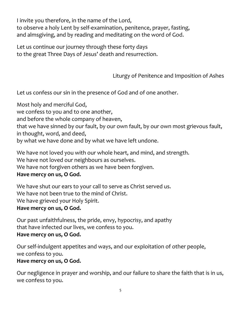I invite you therefore, in the name of the Lord, to observe a holy Lent by self-examination, penitence, prayer, fasting, and almsgiving, and by reading and meditating on the word of God.

Let us continue our journey through these forty days to the great Three Days of Jesus' death and resurrection.

Liturgy of Penitence and Imposition of Ashes

Let us confess our sin in the presence of God and of one another.

Most holy and merciful God, we confess to you and to one another, and before the whole company of heaven, that we have sinned by our fault, by our own fault, by our own most grievous fault, in thought, word, and deed, by what we have done and by what we have left undone.

We have not loved you with our whole heart, and mind, and strength. We have not loved our neighbours as ourselves. We have not forgiven others as we have been forgiven.

## **Have mercy on us, O God.**

We have shut our ears to your call to serve as Christ served us. We have not been true to the mind of Christ. We have grieved your Holy Spirit. **Have mercy on us, O God.**

Our past unfaithfulness, the pride, envy, hypocrisy, and apathy that have infected our lives, we confess to you. **Have mercy on us, O God.**

Our self-indulgent appetites and ways, and our exploitation of other people, we confess to you.

### **Have mercy on us, O God.**

Our negligence in prayer and worship, and our failure to share the faith that is in us, we confess to you.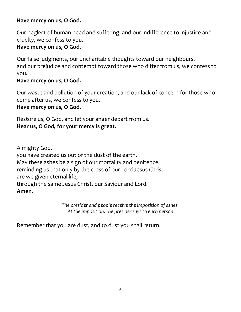### **Have mercy on us, O God.**

Our neglect of human need and suffering, and our indifference to injustice and cruelty, we confess to you.

#### **Have mercy on us, O God.**

Our false judgments, our uncharitable thoughts toward our neighbours, and our prejudice and contempt toward those who differ from us, we confess to you.

#### **Have mercy on us, O God.**

Our waste and pollution of your creation, and our lack of concern for those who come after us, we confess to you.

#### **Have mercy on us, O God.**

Restore us, O God, and let your anger depart from us. **Hear us, O God, for your mercy is great.**

Almighty God,

you have created us out of the dust of the earth. May these ashes be a sign of our mortality and penitence, reminding us that only by the cross of our Lord Jesus Christ are we given eternal life; through the same Jesus Christ, our Saviour and Lord. **Amen.**

> *The presider and people receive the imposition of ashes. At the imposition, the presider says to each person*

Remember that you are dust, and to dust you shall return.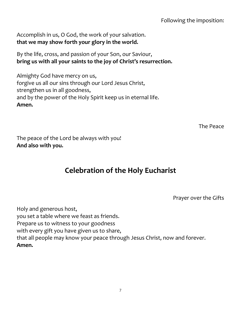Accomplish in us, O God, the work of your salvation. **that we may show forth your glory in the world.**

By the life, cross, and passion of your Son, our Saviour, **bring us with all your saints to the joy of Christ's resurrection.**

Almighty God have mercy on us, forgive us all our sins through our Lord Jesus Christ, strengthen us in all goodness, and by the power of the Holy Spirit keep us in eternal life. **Amen.**

The Peace

The peace of the Lord be always with you! **And also with you.**

# **Celebration of the Holy Eucharist**

Prayer over the Gifts

Holy and generous host, you set a table where we feast as friends. Prepare us to witness to your goodness with every gift you have given us to share, that all people may know your peace through Jesus Christ, now and forever. **Amen.**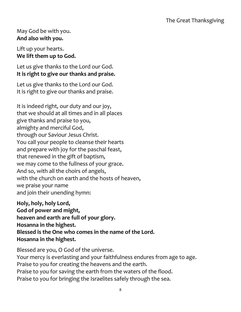### May God be with you. **And also with you.**

Lift up your hearts. **We lift them up to God.**

Let us give thanks to the Lord our God. **It is right to give our thanks and praise.** 

Let us give thanks to the Lord our God. It is right to give our thanks and praise.

It is indeed right, our duty and our joy, that we should at all times and in all places give thanks and praise to you, almighty and merciful God, through our Saviour Jesus Christ. You call your people to cleanse their hearts and prepare with joy for the paschal feast, that renewed in the gift of baptism, we may come to the fullness of your grace. And so, with all the choirs of angels, with the church on earth and the hosts of heaven, we praise your name and join their unending hymn:

**Holy, holy, holy Lord, God of power and might, heaven and earth are full of your glory. Hosanna in the highest. Blessed is the One who comes in the name of the Lord. Hosanna in the highest.**

Blessed are you, O God of the universe. Your mercy is everlasting and your faithfulness endures from age to age. Praise to you for creating the heavens and the earth. Praise to you for saving the earth from the waters of the flood. Praise to you for bringing the Israelites safely through the sea.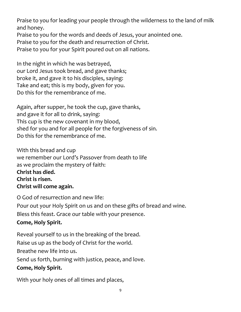Praise to you for leading your people through the wilderness to the land of milk and honey.

Praise to you for the words and deeds of Jesus, your anointed one.

Praise to you for the death and resurrection of Christ.

Praise to you for your Spirit poured out on all nations.

In the night in which he was betrayed, our Lord Jesus took bread, and gave thanks; broke it, and gave it to his disciples, saying: Take and eat; this is my body, given for you. Do this for the remembrance of me.

Again, after supper, he took the cup, gave thanks, and gave it for all to drink, saying: This cup is the new covenant in my blood, shed for you and for all people for the forgiveness of sin. Do this for the remembrance of me.

With this bread and cup we remember our Lord's Passover from death to life as we proclaim the mystery of faith: **Christ has died. Christ is risen. Christ will come again.**

O God of resurrection and new life: Pour out your Holy Spirit on us and on these gifts of bread and wine. Bless this feast. Grace our table with your presence. **Come, Holy Spirit.**

Reveal yourself to us in the breaking of the bread. Raise us up as the body of Christ for the world. Breathe new life into us. Send us forth, burning with justice, peace, and love. **Come, Holy Spirit.**

With your holy ones of all times and places,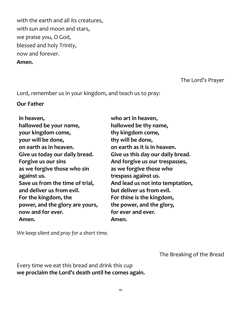with the earth and all its creatures, with sun and moon and stars, we praise you, O God, blessed and holy Trinity, now and forever.

#### **Amen.**

#### The Lord's Prayer

Lord, remember us in your kingdom, and teach us to pray:

#### **Our Father**

| in heaven,                      | who art in heaven,                |
|---------------------------------|-----------------------------------|
| hallowed be your name,          | hallowed be thy name,             |
| your kingdom come,              | thy kingdom come,                 |
| your will be done,              | thy will be done,                 |
| on earth as in heaven.          | on earth as it is in heaven.      |
| Give us today our daily bread.  | Give us this day our daily bread. |
| Forgive us our sins             | And forgive us our trespasses,    |
| as we forgive those who sin     | as we forgive those who           |
| against us.                     | trespass against us.              |
| Save us from the time of trial, | And lead us not into temptation,  |
| and deliver us from evil.       | but deliver us from evil.         |
| For the kingdom, the            | For thine is the kingdom,         |
| power, and the glory are yours, | the power, and the glory,         |
| now and for ever.               | for ever and ever.                |
| Amen.                           | Amen.                             |

*We keep silent and pray for a short time.*

The Breaking of the Bread

Every time we eat this bread and drink this cup **we proclaim the Lord's death until he comes again.**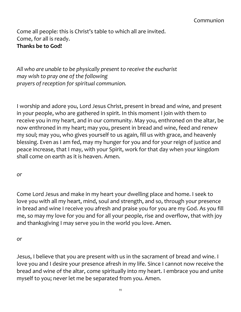Come all people: this is Christ's table to which all are invited. Come, for all is ready. **Thanks be to God!**

*All who are unable to be physically present to receive the eucharist may wish to pray one of the following prayers of reception for spiritual communion.*

I worship and adore you, Lord Jesus Christ, present in bread and wine, and present in your people, who are gathered in spirit. In this moment I join with them to receive you in my heart, and in our community. May you, enthroned on the altar, be now enthroned in my heart; may you, present in bread and wine, feed and renew my soul; may you, who gives yourself to us again, fill us with grace, and heavenly blessing. Even as I am fed, may my hunger for you and for your reign of justice and peace increase, that I may, with your Spirit, work for that day when your kingdom shall come on earth as it is heaven. Amen.

#### *or*

Come Lord Jesus and make in my heart your dwelling place and home. I seek to love you with all my heart, mind, soul and strength, and so, through your presence in bread and wine I receive you afresh and praise you for you are my God. As you fill me, so may my love for you and for all your people, rise and overflow, that with joy and thanksgiving I may serve you in the world you love. Amen.

#### *or*

Jesus, I believe that you are present with us in the sacrament of bread and wine. I love you and I desire your presence afresh in my life. Since I cannot now receive the bread and wine of the altar, come spiritually into my heart. I embrace you and unite myself to you; never let me be separated from you. Amen.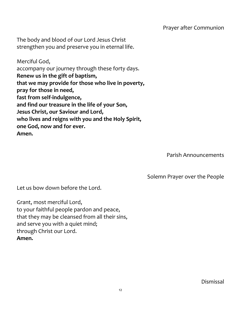Prayer after Communion

The body and blood of our Lord Jesus Christ strengthen you and preserve you in eternal life.

Merciful God, accompany our journey through these forty days. **Renew us in the gift of baptism, that we may provide for those who live in poverty, pray for those in need, fast from self-indulgence, and find our treasure in the life of your Son, Jesus Christ, our Saviour and Lord, who lives and reigns with you and the Holy Spirit, one God, now and for ever. Amen.**

Parish Announcements

Solemn Prayer over the People

Let us bow down before the Lord.

Grant, most merciful Lord, to your faithful people pardon and peace, that they may be cleansed from all their sins, and serve you with a quiet mind; through Christ our Lord. **Amen.**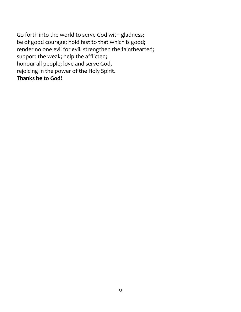Go forth into the world to serve God with gladness; be of good courage; hold fast to that which is good; render no one evil for evil; strengthen the fainthearted; support the weak; help the afflicted; honour all people; love and serve God, rejoicing in the power of the Holy Spirit. **Thanks be to God!**